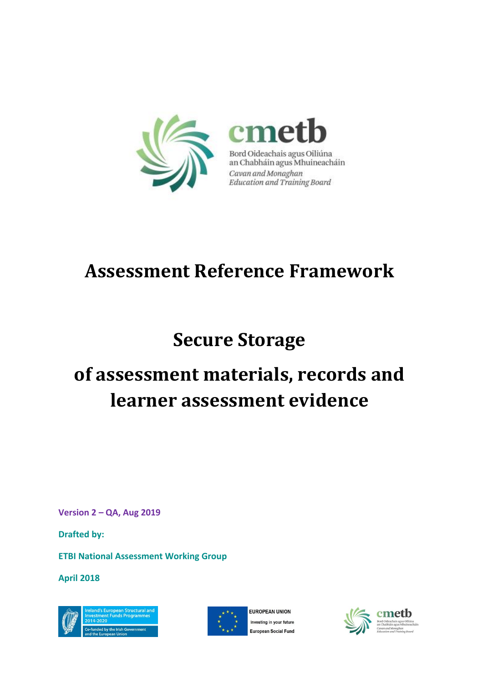

Bord Oideachais agus Oiliúna an Chabháin agus Mhuineacháin Cavan and Monaghan Education and Training Board

# **Assessment Reference Framework**

# **Secure Storage**

# **of assessment materials, records and learner assessment evidence**

**Version 2 – QA, Aug 2019**

**Drafted by:** 

**ETBI National Assessment Working Group**

**April 2018**





FUROPEAN UNION Investing in your future European Social Fund

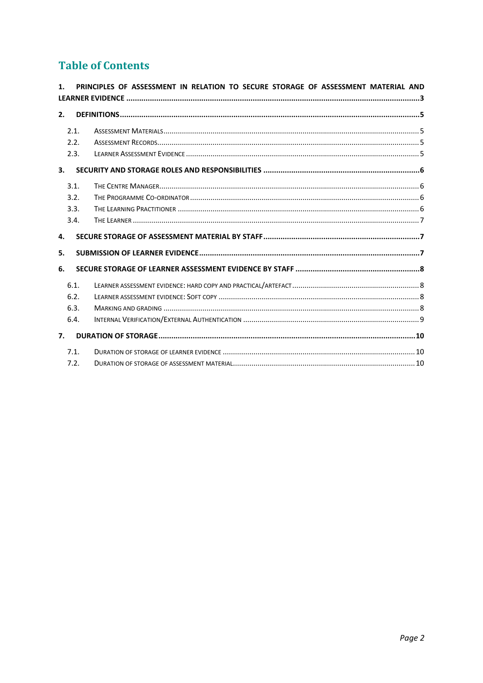# **Table of Contents**

| 1. |      | PRINCIPLES OF ASSESSMENT IN RELATION TO SECURE STORAGE OF ASSESSMENT MATERIAL AND |
|----|------|-----------------------------------------------------------------------------------|
|    |      |                                                                                   |
| 2. |      |                                                                                   |
|    | 2.1. |                                                                                   |
|    | 2.2. |                                                                                   |
|    | 2.3. |                                                                                   |
| 3. |      |                                                                                   |
|    | 3.1. |                                                                                   |
|    | 3.2. |                                                                                   |
|    | 3.3. |                                                                                   |
|    | 3.4. |                                                                                   |
| 4. |      |                                                                                   |
| 5. |      |                                                                                   |
| 6. |      |                                                                                   |
|    | 6.1. |                                                                                   |
|    | 6.2. |                                                                                   |
|    |      |                                                                                   |
|    | 6.3. |                                                                                   |
|    | 6.4. |                                                                                   |
| 7. |      |                                                                                   |
|    | 7.1. |                                                                                   |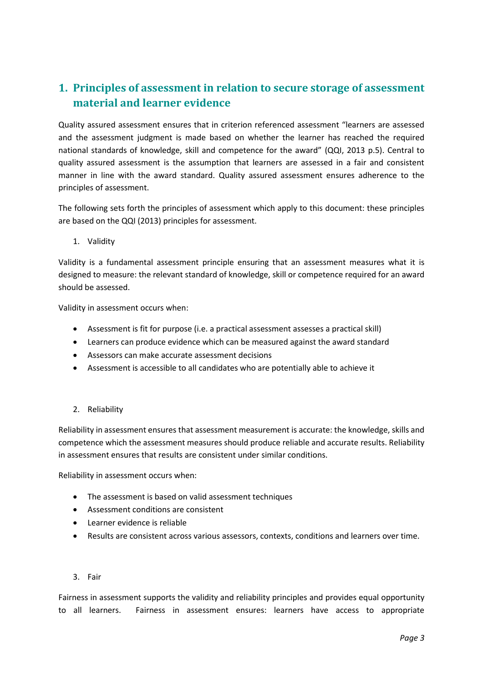# <span id="page-2-0"></span>**1. Principles of assessment in relation to secure storage of assessment material and learner evidence**

Quality assured assessment ensures that in criterion referenced assessment "learners are assessed and the assessment judgment is made based on whether the learner has reached the required national standards of knowledge, skill and competence for the award" (QQI, 2013 p.5). Central to quality assured assessment is the assumption that learners are assessed in a fair and consistent manner in line with the award standard. Quality assured assessment ensures adherence to the principles of assessment.

The following sets forth the principles of assessment which apply to this document: these principles are based on the QQI (2013) principles for assessment.

1. Validity

Validity is a fundamental assessment principle ensuring that an assessment measures what it is designed to measure: the relevant standard of knowledge, skill or competence required for an award should be assessed.

Validity in assessment occurs when:

- Assessment is fit for purpose (i.e. a practical assessment assesses a practical skill)
- Learners can produce evidence which can be measured against the award standard
- Assessors can make accurate assessment decisions
- Assessment is accessible to all candidates who are potentially able to achieve it
- 2. Reliability

Reliability in assessment ensures that assessment measurement is accurate: the knowledge, skills and competence which the assessment measures should produce reliable and accurate results. Reliability in assessment ensures that results are consistent under similar conditions.

Reliability in assessment occurs when:

- The assessment is based on valid assessment techniques
- Assessment conditions are consistent
- Learner evidence is reliable
- Results are consistent across various assessors, contexts, conditions and learners over time.
- 3. Fair

Fairness in assessment supports the validity and reliability principles and provides equal opportunity to all learners. Fairness in assessment ensures: learners have access to appropriate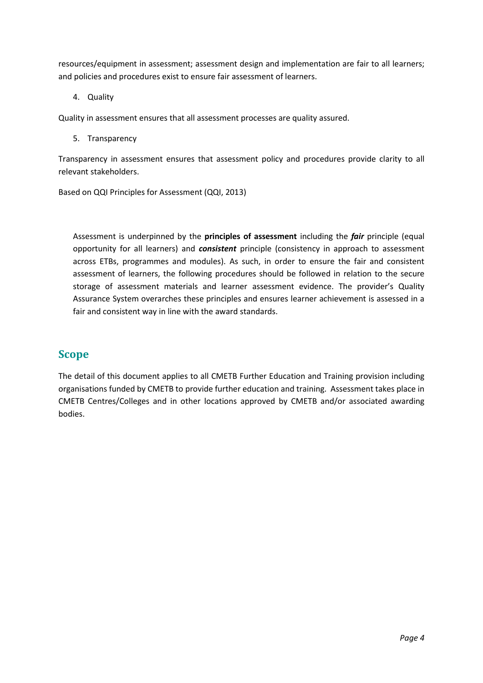resources/equipment in assessment; assessment design and implementation are fair to all learners; and policies and procedures exist to ensure fair assessment of learners.

4. Quality

Quality in assessment ensures that all assessment processes are quality assured.

5. Transparency

Transparency in assessment ensures that assessment policy and procedures provide clarity to all relevant stakeholders.

Based on QQI Principles for Assessment (QQI, 2013)

Assessment is underpinned by the **principles of assessment** including the *fair* principle (equal opportunity for all learners) and *consistent* principle (consistency in approach to assessment across ETBs, programmes and modules). As such, in order to ensure the fair and consistent assessment of learners, the following procedures should be followed in relation to the secure storage of assessment materials and learner assessment evidence. The provider's Quality Assurance System overarches these principles and ensures learner achievement is assessed in a fair and consistent way in line with the award standards.

## **Scope**

The detail of this document applies to all CMETB Further Education and Training provision including organisations funded by CMETB to provide further education and training. Assessment takes place in CMETB Centres/Colleges and in other locations approved by CMETB and/or associated awarding bodies.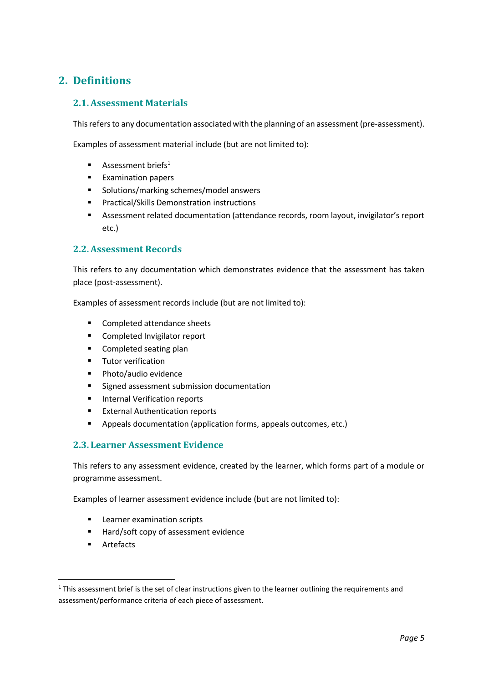## <span id="page-4-0"></span>**2. Definitions**

#### <span id="page-4-1"></span>**2.1.Assessment Materials**

This refers to any documentation associated with the planning of an assessment (pre-assessment).

Examples of assessment material include (but are not limited to):

- **■** Assessment briefs<sup>1</sup>
- Examination papers
- Solutions/marking schemes/model answers
- Practical/Skills Demonstration instructions
- Assessment related documentation (attendance records, room layout, invigilator's report etc.)

#### <span id="page-4-2"></span>**2.2.Assessment Records**

This refers to any documentation which demonstrates evidence that the assessment has taken place (post-assessment).

Examples of assessment records include (but are not limited to):

- Completed attendance sheets
- Completed Invigilator report
- Completed seating plan
- Tutor verification
- Photo/audio evidence
- Signed assessment submission documentation
- Internal Verification reports
- External Authentication reports
- Appeals documentation (application forms, appeals outcomes, etc.)

#### <span id="page-4-3"></span>**2.3. Learner Assessment Evidence**

This refers to any assessment evidence, created by the learner, which forms part of a module or programme assessment.

Examples of learner assessment evidence include (but are not limited to):

- Learner examination scripts
- Hard/soft copy of assessment evidence
- Artefacts

 $1$  This assessment brief is the set of clear instructions given to the learner outlining the requirements and assessment/performance criteria of each piece of assessment.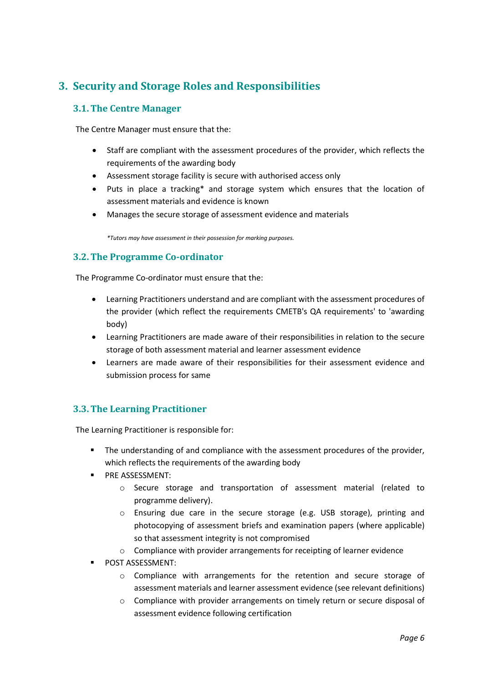# <span id="page-5-0"></span>**3. Security and Storage Roles and Responsibilities**

#### <span id="page-5-1"></span>**3.1.The Centre Manager**

The Centre Manager must ensure that the:

- Staff are compliant with the assessment procedures of the provider, which reflects the requirements of the awarding body
- Assessment storage facility is secure with authorised access only
- Puts in place a tracking\* and storage system which ensures that the location of assessment materials and evidence is known
- Manages the secure storage of assessment evidence and materials

*\*Tutors may have assessment in their possession for marking purposes.*

#### <span id="page-5-2"></span>**3.2.The Programme Co-ordinator**

The Programme Co-ordinator must ensure that the:

- Learning Practitioners understand and are compliant with the assessment procedures of the provider (which reflect the requirements CMETB's QA requirements' to 'awarding body)
- Learning Practitioners are made aware of their responsibilities in relation to the secure storage of both assessment material and learner assessment evidence
- Learners are made aware of their responsibilities for their assessment evidence and submission process for same

### <span id="page-5-3"></span>**3.3.The Learning Practitioner**

The Learning Practitioner is responsible for:

- The understanding of and compliance with the assessment procedures of the provider, which reflects the requirements of the awarding body
- **PRE ASSESSMENT:** 
	- o Secure storage and transportation of assessment material (related to programme delivery).
	- o Ensuring due care in the secure storage (e.g. USB storage), printing and photocopying of assessment briefs and examination papers (where applicable) so that assessment integrity is not compromised
	- o Compliance with provider arrangements for receipting of learner evidence
- POST ASSESSMENT:
	- $\circ$  Compliance with arrangements for the retention and secure storage of assessment materials and learner assessment evidence (see relevant definitions)
	- $\circ$  Compliance with provider arrangements on timely return or secure disposal of assessment evidence following certification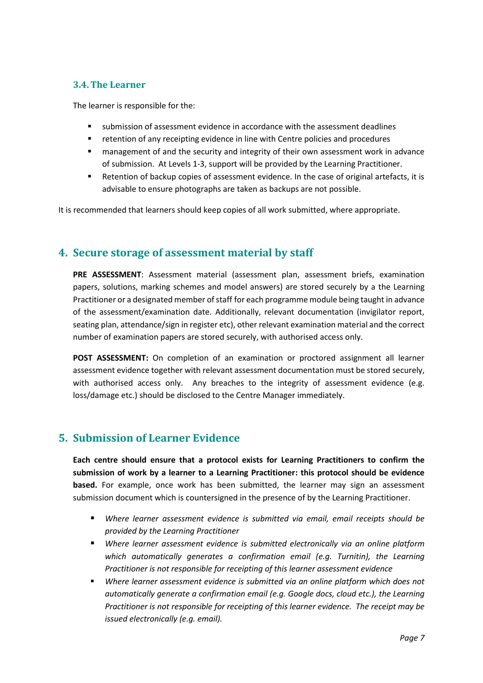#### <span id="page-6-0"></span>**3.4.The Learner**

The learner is responsible for the:

- submission of assessment evidence in accordance with the assessment deadlines
- retention of any receipting evidence in line with Centre policies and procedures
- management of and the security and integrity of their own assessment work in advance of submission. At Levels 1-3, support will be provided by the Learning Practitioner.
- Retention of backup copies of assessment evidence. In the case of original artefacts, it is advisable to ensure photographs are taken as backups are not possible.

It is recommended that learners should keep copies of all work submitted, where appropriate.

## <span id="page-6-1"></span>**4. Secure storage of assessment material by staff**

**PRE ASSESSMENT**: Assessment material (assessment plan, assessment briefs, examination papers, solutions, marking schemes and model answers) are stored securely by a the Learning Practitioner or a designated member of staff for each programme module being taught in advance of the assessment/examination date. Additionally, relevant documentation (invigilator report, seating plan, attendance/sign in register etc), other relevant examination material and the correct number of examination papers are stored securely, with authorised access only.

**POST ASSESSMENT:** On completion of an examination or proctored assignment all learner assessment evidence together with relevant assessment documentation must be stored securely, with authorised access only. Any breaches to the integrity of assessment evidence (e.g. loss/damage etc.) should be disclosed to the Centre Manager immediately.

## <span id="page-6-2"></span>**5. Submission of Learner Evidence**

**Each centre should ensure that a protocol exists for Learning Practitioners to confirm the submission of work by a learner to a Learning Practitioner: this protocol should be evidence based.** For example, once work has been submitted, the learner may sign an assessment submission document which is countersigned in the presence of by the Learning Practitioner.

- *Where learner assessment evidence is submitted via email, email receipts should be provided by the Learning Practitioner*
- *Where learner assessment evidence is submitted electronically via an online platform which automatically generates a confirmation email (e.g. Turnitin), the Learning Practitioner is not responsible for receipting of this learner assessment evidence*
- *Where learner assessment evidence is submitted via an online platform which does not automatically generate a confirmation email (e.g. Google docs, cloud etc.), the Learning Practitioner is not responsible for receipting of this learner evidence. The receipt may be issued electronically (e.g. email).*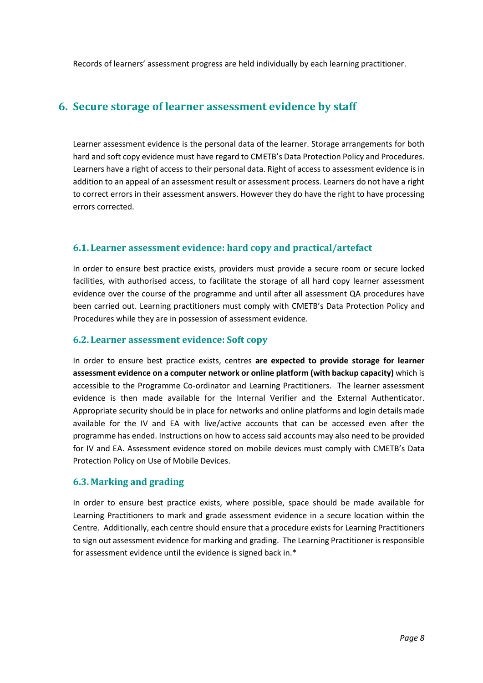Records of learners' assessment progress are held individually by each learning practitioner.

### <span id="page-7-0"></span>**6. Secure storage of learner assessment evidence by staff**

Learner assessment evidence is the personal data of the learner. Storage arrangements for both hard and soft copy evidence must have regard to CMETB's Data Protection Policy and Procedures. Learners have a right of access to their personal data. Right of access to assessment evidence is in addition to an appeal of an assessment result or assessment process. Learners do not have a right to correct errors in their assessment answers. However they do have the right to have processing errors corrected.

#### <span id="page-7-1"></span>**6.1. Learner assessment evidence: hard copy and practical/artefact**

In order to ensure best practice exists, providers must provide a secure room or secure locked facilities, with authorised access, to facilitate the storage of all hard copy learner assessment evidence over the course of the programme and until after all assessment QA procedures have been carried out. Learning practitioners must comply with CMETB's Data Protection Policy and Procedures while they are in possession of assessment evidence.

#### <span id="page-7-2"></span>**6.2. Learner assessment evidence: Soft copy**

In order to ensure best practice exists, centres **are expected to provide storage for learner assessment evidence on a computer network or online platform (with backup capacity)** which is accessible to the Programme Co-ordinator and Learning Practitioners. The learner assessment evidence is then made available for the Internal Verifier and the External Authenticator. Appropriate security should be in place for networks and online platforms and login details made available for the IV and EA with live/active accounts that can be accessed even after the programme has ended. Instructions on how to access said accounts may also need to be provided for IV and EA. Assessment evidence stored on mobile devices must comply with CMETB's Data Protection Policy on Use of Mobile Devices.

#### <span id="page-7-3"></span>**6.3. Marking and grading**

<span id="page-7-4"></span>In order to ensure best practice exists, where possible, space should be made available for Learning Practitioners to mark and grade assessment evidence in a secure location within the Centre. Additionally, each centre should ensure that a procedure exists for Learning Practitioners to sign out assessment evidence for marking and grading. The Learning Practitioner is responsible for assessment evidence until the evidence is signed back in.\*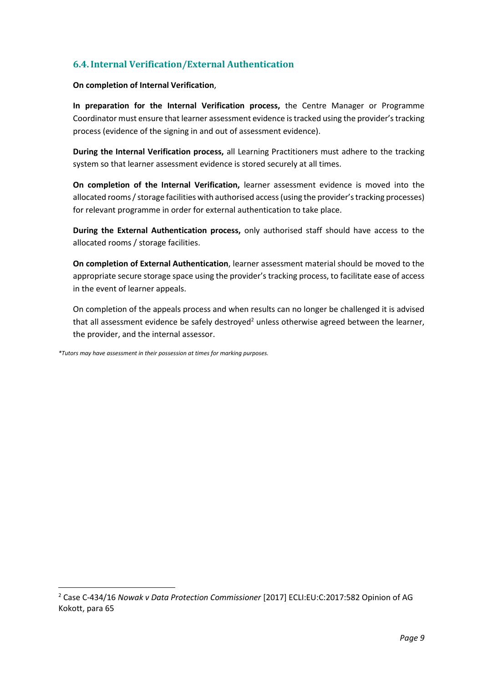### **6.4.Internal Verification/External Authentication**

#### **On completion of Internal Verification**,

**In preparation for the Internal Verification process,** the Centre Manager or Programme Coordinator must ensure that learner assessment evidence is tracked using the provider's tracking process (evidence of the signing in and out of assessment evidence).

**During the Internal Verification process,** all Learning Practitioners must adhere to the tracking system so that learner assessment evidence is stored securely at all times.

**On completion of the Internal Verification,** learner assessment evidence is moved into the allocated rooms / storage facilities with authorised access (using the provider's tracking processes) for relevant programme in order for external authentication to take place.

**During the External Authentication process,** only authorised staff should have access to the allocated rooms / storage facilities.

**On completion of External Authentication**, learner assessment material should be moved to the appropriate secure storage space using the provider's tracking process, to facilitate ease of access in the event of learner appeals.

On completion of the appeals process and when results can no longer be challenged it is advised that all assessment evidence be safely destroyed<sup>2</sup> unless otherwise agreed between the learner, the provider, and the internal assessor.

*\*Tutors may have assessment in their possession at times for marking purposes.*

<sup>2</sup> Case C-434/16 *Nowak v Data Protection Commissioner* [2017] ECLI:EU:C:2017:582 Opinion of AG Kokott, para 65